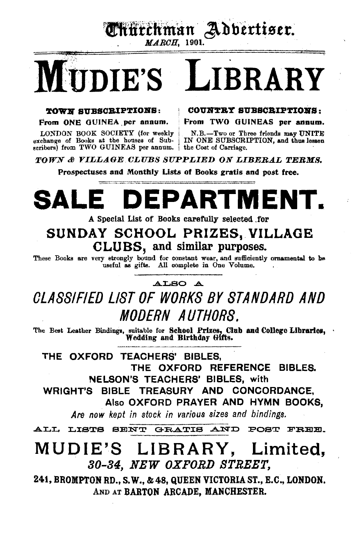Ennechman Adbertiser. *M.AROH,* 1901.

# TDIE'S LIBRARY

LONDON BOOK SOCIETY (for weekly N.B.-Two or Three friends may UNITE exchange of Books at the houses of Sub- IN ONE SUBSCRIPTION, and thus lessen scribers) from TWO GUINEAS per annum. the Cost of Carriage.

TOWN SUBSCRIPTIONS: : COUNTRY SUBSCRIPTIONS:

From ONE GUINEA per annum. From TWO GUINEAS per annum.

**TOWN & VILLAGE CLUBS SUPPLIED ON LIBERAL TERMS.** 

Prospectuses and Monthly Lists of Books gratis and post free.

# **SALE DEPARTMENT.**

A Special List of Books carefully selected for

# SUNDAY SCHOOL PRIZES, VILLAGE CLUBS, and similar purposes.

These Books are very strongly bound for constant wear, and sufficiently ornamental to be useful as gifts. All complete in One Volume.

# ALSO A

# OLASSIFIED LIST OF WORKS BY STANDARD AND MODERN AUTHORS.

The Best Leather Bindings, suitable for School Prizes, Club and College Libraries, Wedding and Birthday Gifts.

THE OXFORD TEACHERS' BIBLES, THE OXFORD REFERENCE BIBLES. NELSON'S TEACHERS' BIBLES, with WRIGHT'S BIBLE TREASURY AND CONCORDANCE, Also OXFORD PRAYER AND HYMN BOOKS,

*Are now kept in stock in various sizes and bindings.* 

ALL LISTS BENT GRATIS AND POST FREE.

# MUDIE'S LIBRARY, Limited, 80-84, NEW OXFORD STREET,

241, BROMPTON RD., S.W., & 48, QUEEN VICTORIA ST., E.C., LONDON. AND AT BARTON ARCADE, MANCHESTER.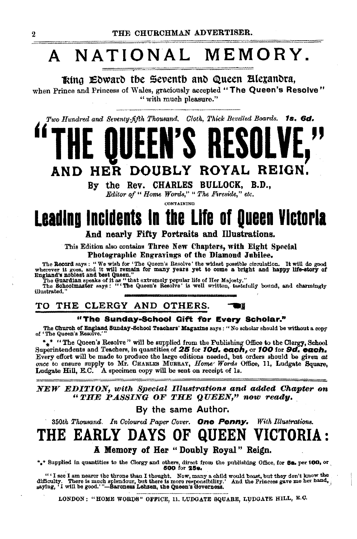# A NATIONAL MEMORY.

Ring Edward the Seventh and Queen Blexandra. when Prince and Princess of Wales, graciously accepted "The Queen's Resolve" " with much pleasure."

Two Hundred and Seventy-fifth Thousand. Cloth, Thick Bevelled Boards. 1s. 6d.

# ROYAL REIGN. HER **DOUBLY** AND

By the Rev. CHARLES BULLOCK, B.D., Editor of "Home Words," "The Fireside," etc.

CONTAINING

# **Leading Incidents in the Life of Queen Victoria** And nearly Fifty Portraits and Illustrations.

This Edition also contains Three New Chapters, with Eight Special Photographic Engravings of the Diamond Jubilee.

The Record says: "We wish for "The Queen's Resolve' the widest possible circulation. It will do good<br>wherever it goes, and it will remain for many years yet to come a bright and happy life-story of<br>England's noblest and be

illustrated.

#### TO THE CLERGY AND OTHERS. YÉ

### "The Sunday-School Gift for Every Scholar."

The Ohurch of England Sunday-School Teachers' Magazine says: "No scholar should be without a copy of 'The Queen's Resolve."

\*\* "The Queen's Resolve" will be supplied from the Publishing Office to the Clergy, School Superintendents and Teachers, in quantities of  $25$  for  $10d$ , each, or  $100$  for  $9d$ , each, Every effort will be made to produce the large editions needed, but orders should be given at once to ensure supply to Mr. CHARLES MURRAY, Home Words Office, 11, Ludgate Square, Ludgate Hill, E.C. A specimen copy will be sent on receipt of 1s.

NEW EDITION, with Special Illustrations and added Chapter on "THE PASSING OF THE QUEEN," now ready.

By the same Author.

350th Thousand. In Coloured Paper Cover. One Penny. With Illustrations. THE EARLY VICTORIA : 1) A F S uu

A Memory of Her "Doubly Royal" Reign.

 $*_*$ <sup>\*</sup> Supplied in quantities to the Clergy and others, direct from the publishing Office, for **88.** per 100, or 600 for **258.** 

"'I see I am nearer the throne than I thought. Now, many a child would boast, but they don't know the difficulty. There is much splendour, but there is more responsibility.' And the Princess gave me her hand, asying, 'I w

LONDON: "HOME WORDS" OFFICE, 11. LUDGATE SQUARE, LUDGATE HILL, E.C.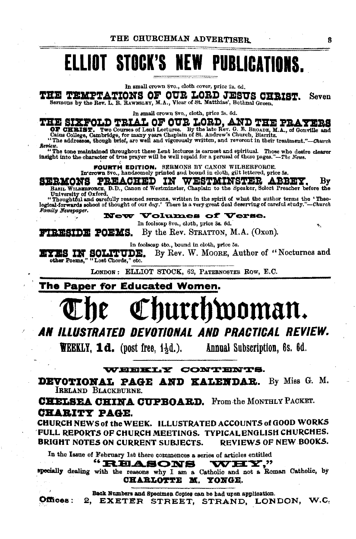# ELLIOT STOCK'S NEW PUBLICATIONS.

In small crown Svo., cloth cover, price 2a. 6d.

THE TEMPTATIONS OF OUR LORD JESUS CHRIST. Seven Sermons by the Rev. L. R. RAWNSLEY, M.A., Vicar of St. Matthias', Bethnal Green.

In small crown 8vo., cloth, price 28. 6d.

THE SIXFOLD TRIAL OF OUR LORD, AND THE PRAYERS OF CHRIST. Two Courses of Lent Lectures. By the late Rev. G. E. BROADE, M.A., of Gonville and Cating Concept, Cambridge, for many years Chaplan of St. and rev. G. E. BROADE, M

Review.<br>"The tone maintained throughout these Lent lectures is earnest and spiritual. Those who desire clearer<br>insight into the character of true prayer will be well repaid for a perusal of these pages."--The News.

FOURTH EDITION. SERMONS BY CANON WILBERFORCE.<br>In crown 8vo., handsomely printed and bound in cloth, gilt lettered, price 58,<br>SERMONS PREACHED IN WESTMINSTER ABBEY,

SERMONS PREACHED IN WESTMINSTER ABBEY. By BASIL WILBERFORCE, D.D., Canon of Westminster, Chaplain to the Speaker, Select Preacher before the University of Oxford.

"Thoughtful and carefully reasoned sermons, written In the spirit of what the author terms the • Tbeo· logioal-forworda aohool of thought of our day.' There is a very great deal deserving of careful •tudy."-Ckurch  $Family$  Newspaper.

 $\bf Now\,~Volumes\,$  of  $\bf Veres.$ 

In foolscap 8vo., cloth, price 3s. 6d. **FIRESIDE POEMS.** By the Rev. STRATTON, M.A.  $(Oxon)$ .

In foolacap 4to., bound In cloth, price *58.* 

EYES IN SOLITUDE. By Rev. W. MOORE, Author of "Nocturnes and other Poems," "Lost Chords," etc.

LONDON: ELLIOT STOCK, 62, PATERNOSTER ROW, E.C.

The Paper for Educated Women.

# hurchwoman.

# AN ILLUSTRATED DEVOTIONAL AND PRACTICAL REVIEW.

**WEEKLY, 1d.** (post free,  $1\frac{1}{2}d$ .). Annual Subscription, 6s. 6d.

WEEKLY CONTENTS.

**DEVOTIONAL PAGE AND KALENDAR.** By Miss G. M. IRELAND BLAOKBURNE.

**CHELSEA CHINA CUPBOARD.** From the MONTHLY PACKET. **CHARITY PAGE.** 

CHURCH NEWS of the WEEK. ILLUSTRATED ACCOUNTS of GOOD WORKS 'FULL REPORTS OF CHURCH MEETINGS. TYPICAL ENGLISH CHURCHES. BRIGHT NOTES ON CURRENT SUBJECTS. REVIEWS OF NEW BOOKS.

In the Isaue of February 1st there commences a series of articles entitled<br> **IRELASONS** 

specially dealing with the reasons why I am a Catholic and not a Roman Catholic, by . Poussing with the reasons why I am a Catholic and in CHARLOTTE M. YONGE.

Back Numbers and Specimen Copies can be had upon application.

Offices: 2, EXETER STREET, STRAND, LONDON, W.C,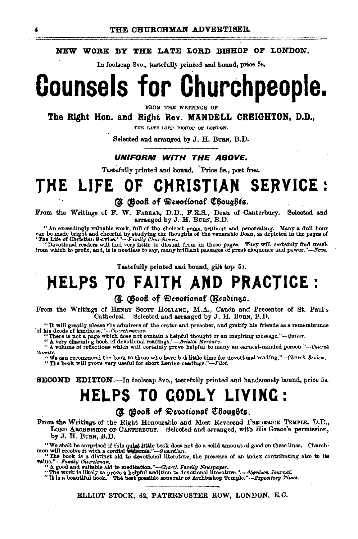### NEW WORK BY THE LATE LORD BISHOP OF LONDON.

In foolscap 8vo., tastefully printed and bound, price 5s,

# **Counsels for Churchpeople.**

FROM THE WRITINGS OF

The Right Hon. and Right Rev. MANDELL CREIGHTON, D.D.,

THE LATE LORD BISHOP OF LONDON.

Selected and arranged by J. H. BURN. B.D.

## UNIFORM WITH THE ABOVE.

Tastefully printed and bound. Price 5s., post free.

## **CHRISTIAN SERVICE:** THE LIFE OF

(d) Book of Devotional Choughts.

From the Writings of F. W. FABBAR, D.D., F.R.S., Dean of Canterbury. Selected and arranged by J. H. BUBN, B.D.

" An exceedingly valuable work, full of the choicest gems, brilliant and penetrating. Many a dull hour can be made brigging the thoughts of the venerable Dean be made brigging the flowly of the venerable Dean, as depicted

"Devotional readers will find very little to dissent from in these pages. They will certainly find much from which to profit, and, it is needless to say, many brilliant passages of great eloquence and power."-News.

Tastefully printed and bound, gilt top. 5s.

# **HELPS TO FAITH AND PRACTICE:**

## (C) Gooff of Devotional (Readings.

From the Writings of HENBY SCOTT HOLLAND, M.A., Canon and Precentor of St. Paul's Cathedral. Selected and arranged by J. H. BURN, B.D.

"It will greatly please the admirers of the orator and preacher, and gratify his friends as a remembrance of his deeds of kindness."--Churchwoman.

his deeds of kindness."--Churchwoman.<br>"There is not a page which does not contain a helpful thought or an inspiring message."—Quiver.<br>" A very charming book of devotional readings."—Bristol Mercury.<br>" A volume of reflectio Gasette.

We can recommend the book to those who have but little time for devotional reading."-Church Review. "The book will prove very useful for short Lenten readings."-Pilot.

## **SECOND EDITION.**—In foolscap 8vo., tastefully printed and handsomely bound, price 5s.

# **HELPS TO GODLY LIVING:**

## (@ Gooff of Devotional Choughts.

From the Writings of the Right Honourable and Most Reverend FREDERICK TEMPLE, D.D., LORD ARCHBISHOP OF CANTERBURY. Selected and arranged, with His Grace's permission, by J. H. BURN, B.D.

We shall be surprised if this quick little book does not do a solid amount of good on these lines. Churchmen will receive it with a cordial wideome."-Guardian.<br>"The book is a distinct aid to devotional literature, the pres

value."-Family Churchman.

' A good and suitable aid to meditation."-Church Family Newspaper.

The work is likely to prove a helpful addition to devotional literature."-Aberdeen Journal.<br>"The work is likely to prove a helpful addition to devotional literature."-Aberdeen Journal.<br>"It is a beautiful book. The best pos

ELLIOT STOCK, 62, PATERNOSTER ROW, LONDON, E.C.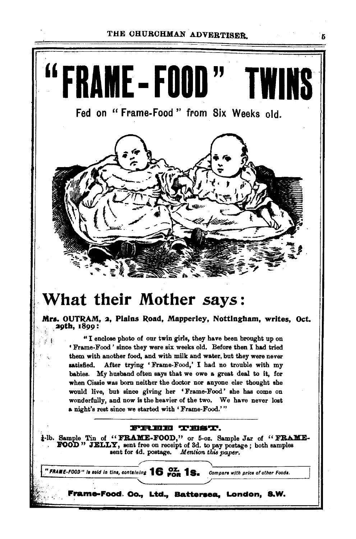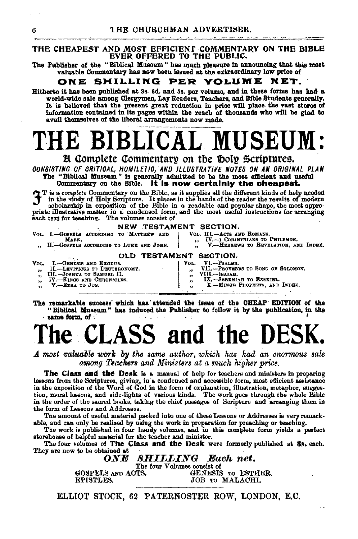### THE CHEAPEST AND MOST EFFICIENT COMMENTARY ON THE BIBLE EVER OFFERED TO THE PUBLIC.

The Publisher of the "Biblical Museum" has much pleasure in announcing that this most valuable Commentary has now been issued at the extraordinary low price of

#### ONE SHILLING PER YOLUME NET.

Hitherto it has been published at 3s. 6d. and 5s. per volume, and in these forms has had a world-wide sale among Clergymen, Lay Readers, Teachers, and Bible Students generally. It is believed that the present great reduction in price will place the vast stores of information contained in its pages within the reach of thousands who will be glad to avail themselves of the liberal arrangements now made.

# **BLICAL MUSEUM**

## El Complete Commentary on the Doly Scriptures.

CONSISTING OF CRITICAL, HOMILETIC, AND ILLUSTRATIVE NOTES ON AN ORIGINAL PLAN. The "Biblical Museum " is generally admitted to be the most efficient and useful<br>Commentary on the Bible. It is now certainly the cheapest.

T is a complete Commentary on the Bible, as it supplies all the different kinds of help needed<br>in the study of Holy Scripture. It places in the hands of the reader the results of modern<br>scholarship in exposition of the Bib

priate illustrative matter in a condensed form, and the most useful instructions for arranging<br>each text for teaching. The volumes consist of

### NEW TESTAMENT SECTION.

- VOL. I.-GOSPELS ACCORDING TO MATTHEW AND MARK. II.-GOSPELS ACCORDING TO LUKE AND JOHN.
	-
- VOL. III .- ACTS AND ROMANS. IV.--I CORINTHIANS TO PHILEMON, AND INDEX.<br>V.---HEBREWS TO REVELATION, AND INDEX.

### OLD TESTAMENT SECTION.

- I.-GENESIS AND EXODUS. VI.-PSALMS.<br>VII.-PROVERBS TO SONG OF SOLOMON. Vol. Vot. II.-LEVITICUS TO DEUTEBONOMY. yý.  $\bullet$ -DEVINIOUS AND DECEMBRICATE.<br>-JOSHUA TO SAMURL II.<br>-KINGS AND CHRONICLES. VIII.-ISAIAH.<br>IX.-JEREMIAH TO EZEKIEL. III.- $\overline{\mathbf{r}}$  $\ddot{\phantom{1}}$ IV. ,, ,, X.-MINOR PROPHETS, AND INDEX. V.-EZRA TO JOB.  $\bullet$
- The remarkable success which has attended the issue of the CHEAP EDITION of the "Biblical Museum" has induced the Publisher to follow it by the publication, in the · same form, of :

# **S** and the D

A most valuable work by the same author, which has had an enormous sale among Teachers and Ministers at a much higher price.

The Class and the Desk is a manual of help for teachers and ministers in preparing lessons from the Scriptures, giving, in a condensed and accessible form, most efficient assistance in the exposition of the Word of God in the form of explanation, illustration, metaphor, suggestion, moral lessons, and side-lights of various kinds. The work goes through the whole Bible in the order of the sacred books, taking the chief passages of Scripture and arranging them in the form of Lessons and Addresses.

The amount of useful material packed into one of these Lessons or Addresses is very remarkable, and can only be realized by using the work in preparation for preaching or teaching.

The work is published in four handy volumes, and in this complete form yields a perfect storehouse of helpful material for the teacher and minister.

The four volumes of The Class and the Desk were formerly published at 3s. each. They are now to be obtained at

> $\boldsymbol{O}\boldsymbol{N}\boldsymbol{E}$ **SHILLING** Each net. The four Volumes consist of GOSPELS AND ACTS. GENESIS TO ESTHER. **EPISTLES.** JOB TO MALACHI.

ELLIOT STOCK, 62 PATERNOSTER ROW, LONDON, E.C.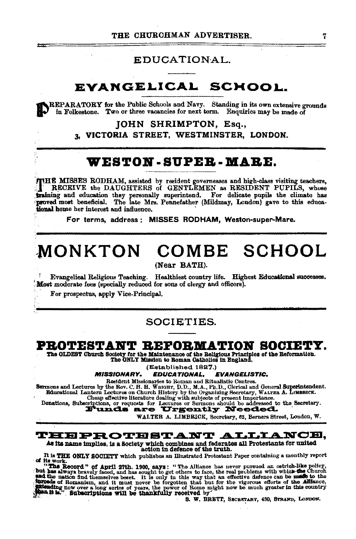# EDUCATIONAL.

#### **EVANGELICAL SCHOOL**

REPARATORY for the Public Schools and Navy. Standing in its own extensive grounds in Folkestone. Two or three vacancies for next term. Enquiries may be made of

> **JOHN SHRIMPTON, Esq.,** 3. VICTORIA STREET, WESTMINSTER, LONDON.

# WESTON - SUPER - MARE.

THE MISSES RODHAM, assisted by resident governesses and high-class visiting teachers,<br>TRECEIVE the DAUGHTERS of GENTLEMEN as RESIDENT PUPILS, whose fraining and education they personally superintend. For delicate pupils the climate has proved most beneficial. The late Mrs. Pennefather (Mildmay, London) gave to this educational home her interest and influence.

For terms, address: MISSES RODHAM, Weston-super-Mare.

# MONKTON COMBE SCHOOL

(Near BATH).

Evangelical Religious Teaching. Healthiest country life. Highest Educational successes. Most moderate fees (specially reduced for sons of clergy and officers).

For prospectus, apply Vice-Principal.

## **SOCIETIES.**

# PROTESTANT REFORMATION SOCIETY.

The OLDEST Church Society for the Maintenance of the Religious Principles of the Reformation.<br>The ONLY Mission to Roman Catholics in England.

(Established 1827.)

**MISSIONARY. EDUCATIONAL. EVANGELISTIC.** 

Resident Missionaries to Roman and Ritualistic Centres.

Sermons and Lectures by the Rev. C. H. H. Wanda and Kitualistic Centres.<br>
Educational Lantern Lectures on Church History by the Organizing Secretary, WALTER A. LINERICK.<br>
Educational Lantern Lectures on Church History by t

WALTER A. LIMBRICK, Secretary, 62, Berners Street, London, W.

### THEPROTESTANT ALLIANCE,

As its name implies, is a Society which combines and federates all Protestants for united action in defence of the truth.

It is THE ONLY SOCIETY which publishes an Illustrated Protestant Paper containing a monthly report

It is THE ONLY SOCIETY which includes an interesting to the new pursue of the work. "The Record" of April 27th, 1900, says: "The Alliance has never pursued an ostrich-like policy in the Record" of April 27th, 1900, says: "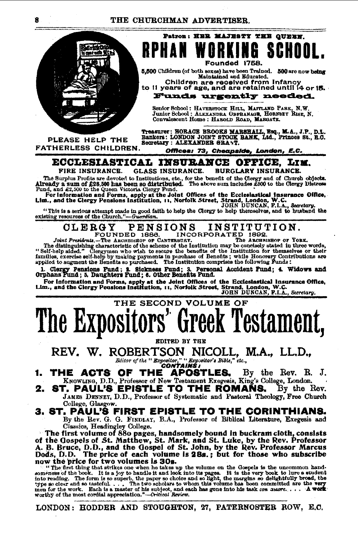### THE CHURCHMAN ADVERTISER.



PLEASE HELP THE FATHERLESS CHILDREN.

Founded 1758. 5,500 Children (of both sexes) have been Trained. 500 are now being Maintained and Educated.

Patron: HER MAJESTY THE OUBEN.

Children are received from Infancy<br>to 11 years of age, and are retained until 14 or 15. Funds urgently needed.

Senior School: HAVERSTOCK HILL, MAITLAND PARK, N.W.<br>Junior School: ALEXANDRA OBPHANAGE, HORNEEY RISE, N.<br>Convalescent Home: HABOLD ROAD, MARGATE.

Treasurer: HORACE BROOKS MARSHALL, Esq., M.A., J.P., D.L.<br>Bankers: LONDON JOINT STOCK BANK, Ltd., Princes St., R.C.<br>Secretary: ALEXANDER GRANT.

Offices: 73, Cheapside, London, E.C. ECCLESIASTICAL INSURANCE OFFICE, LIM.

FIRE INSURANCE. GLASS INSURANCE. **BURGLARY INSURANCE.** 

The Burplus Profits are devoted to Institutions, etc., for the benefit of the Olergy paid of Church objects.<br>The Sure of the State of the State of the Church objects.<br>Already a sum of £28,500 has been 91 of distributed. Th

"This is a serious attempt made in good faith to help the Clergy to help there existing, and to husband the existing resources of the Church."-Guardian.

#### INSTITUTION. **PENSIONS** OLERGY FOUNDED 1886. INCORPORATED 1892.<br>abuar. The Archaishop of York.

Joint Presidents. -- The ARCHBISHOP OF CANTERBURY. The distinguishing characteristic of the scheme of the Institution may be concisely stated in three words, "Self-help aided." Clergymen who wish to secure the benefits of the Institution for themselves or their families, exercise self-help by making payments in purchase of Benefits; while Honorary Contributions are applied to augment the Benefits so purchased. The Institution comprises the following Funds:

1. Clergy Pensions Fund; 2. Sickness Fund; 3. Personal Accident Pund; 4. Widows and Orphans Fund; 5. Daughters Fund; 6. Other Benefits Fund.

For Information and Forms, apply at the Joint Offices of the Ecclesiastical Insurance Office,<br>Lim., and the Clergy Peaslons Institution, 11, Norfolk Street, Strand, London, W.C.<br>JOHN DUNCAN, F.I.A., Secretary.

# THE SECOND VOLUME OF The Expositors' Greek Testament,

REV. W. ROBERTSON NICOLL, M.A., LL.D., Baitor of the "Expositor," "Expositor's Bible," etc.,

THE ACTS OF THE **APOSTLES.** By the Rev. R. J, KNOWLING, D.D., Professor of New Testament Exegesis, King's College, London.

ST. PAUL'S EPISTLE TO THE ROMANS. 2. By the Rev. JAMES DENNEY, D.D., Professor of Systematic and Pastoral Theology, Free Church College, Glasgow.

# 3. ST. PAUL'S FIRST EPISTLE TO THE CORINTHIANS.

By the Rev. G. G. FINDLAY, B.A., Professor of Biblical Literature, Exegesis and Classics, Headingley College.

The first volume of 880 pages, handsomely bound in buckram cloth, consists of the Gospels of St. Matthew, St. Mark, and St. Luke, by the Rev. Professor A. B. Bruce, D.D., and the Gospel of St. John, by the Rev. Professor Marcus Dods, D.D. The price of each volume is 28s.; but for those who subscribe now the price for two volumes is 30s.

it of the principal statistics one when he takes up the volume on the Gospels is the uncommon hand-<br>someness of the book. It is a joy to handle it and look into its pages. It is the very book to lure a student<br>into reading

LONDON: HODDER AND STOUGHTON, 27, PATERNOSTER ROW, E.C.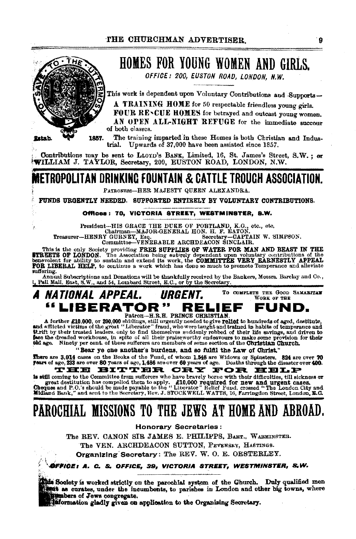## THE CHURCHMAN ADVERTISER ġ HOMES FOR YOUNG WOMEN AND GIRLS. OFFICE: 200. EUSTON ROAD. LONDON. N.W. This work is dependent upon Voluntary Contributions and Supports-A TRAINING HOME for 50 respectable friendless young girls. FOUR RENCUE HOMES for betrayed and outcast young women. AN OPEN ALL-NIGHT REFUGE for the immediate succour of both classes. The training imparted in these Homes is both Christian and Indus-1857. fatab. trial. Upwards of 37,000 have been assisted since 1857. Contributions may be sent to LLOYD's BANK, Limited, 16, St. James's Street, S.W.; or WILLIAM J. TAYLOR, Secretary, 200, EUSTON ROAD, LONDON, N.W. WETROPOLITAN DRINKING FOUNTAIN & CATTLE TROUGH ASSOCIATION. PATRONESS-HER MAJESTY QUEEN ALEXANDRA. FUNDS URGENTLY NEEDED. SUPPORTED ENTIRELY BY VOLUNTARY CONTRIBUTIONS. Offices: 70, VICTORIA STREET, WESTMINSTER, S.W. Secretary-CAPTAIN W. SIMPSON. This is the only Society providing FREE SUPPLIES OF WATER FOR MAN AND BEAST IN THE STREETS OF LONDON. The Association being entirely dependent upon voluntary contributions of the benevolent for ability to sustain and exten suffering. Annual Subscriptions and Donations will be thankfully received by the Bankers, Messrs. Barclay and Co., , Pall Mall, East, S.W., and 54, Lombard Street, E.C., or by the Secretary. TO COMPLETE THE GOOD SAMARITAN A NATIONAL APPEAL. URGENT. WORK OF THE "LIBERATOR" RELIEF FUND. Patron-H.R.H. PRINCE CHRISTIAN A further £10,000, or 200,000 shillings, still urgently needed to give relief to hundreds of aged, destitute, and afflicted victims of the great "Liberator" fraud, who were taught and trained in habits of temperance and t 'Bear ye one another's burdens, and so fulfil the Law of Christ, There are 3,014 cases on the Books of the Fund, of whom 1,548 are Widows or Spinsters. 824 are over 70 years of age, 1,486 are over 60 years of age, 233 are over 200. THE BITTER CRY FOR HELP is still coming to the Committee from sufferers who have bravely borne with their difficulties, till sickness or Free destitution has compelled them to apply. F10,000 required for new and urgent cases.<br>Cheques and P.O.'s should be made payable to the "Liberator" Relief Fund, crossed "The London City and apply the state of the Discuss PAROCHIAL MISSIONS TO THE JEWS AT HOME AND ABROAD. **Honorary Secretaries:** The REV. CANON SIR JAMES E. PHILIPPS, BART., WARMINSTER. The VEN, ARCHDEACON SUTTON, PEVENSEY, HASTINGS. Organizing Secretary: The REV. W. O. E. OESTERLEY.

øffice: A. C. S. Office, 39, victoria street, westminster, S.W.

this Society is worked strictly on the parochial system of the Church. Duly qualified men that as curates, under the incumbents, to parishes in London and other big towns, where mbers of Jews congregate.

information gladly given on application to the Organising Secretary.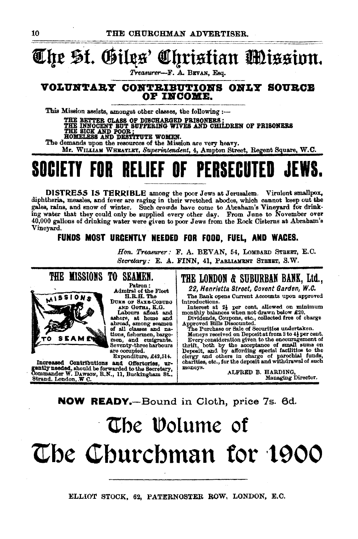# *1Eqt* ~t. ®illts' Ol!f!tistian ftnissinn.

*Treasurer-F.* A. BBVAN, Esq.

## VOLUNTARY CONTRIBUTIONS ONLY SOURCE OP INCOME.

This Mission assists, amongst other classes, the following  $:$ --

THE BETTER CLASS OF DISCHARGED PRISONERS ;<br><u>THE INNOCENT BUT</u> SUFFERING WIVES AND CHILDREN OF PRISONERS THE SICK AND POOR; FILLER WOMEN.

The demands upon the resources of the Mission are very heavy.

Mr. WILLIAM WHEATLEY, Superintendent, 4, Ampton Street, Regent Square, W.C.

# SOCIETY FOR RELIEF OF PERSECUTED

DISTRESS IS TERRIBLE among the poor Jews at Jerusalem. Virulent smallpox, diphtheria, measles, and fever are raging in their wretched abodes, which cannot keep out tbe gales, rains, and snow of winter. Such crowds have come to Abraham's Vineyard for drinking water that they could only be mpplied every other day. From June to November over 40,000 gallons of drinking water were given to poor Jews from the Rock Cisterns at Abraham's Vineyard.

## FUNDS MOST URGENTLY NEEDED FOR FOOD, FUEL, AND WAGES.

Ron. *Treasurer:* F. A. BEVAN, 54, LoMBARD STBEBT, E.O. *Secretary: E. A. FINN, 41, PABLIAMENT STBEET, S.W.* 



Patron: Admiral of the Fleet<br>H.R.H. The

DUKE OF SAXE-COBUBG A.NJ) GOTHA, K.G. Labours afleat and ashore, at home and abroad, among seamen of all classes and na-<br>tions, fishermen, barge-<br>men, and emigrants. Seventy-three harbours<br>are occupied.

Expenditure, £42,514.

Increased Contributions and Offertories, urgently needed, should be forwarded to the Secretary, . Other Commander W. DAWSON, R.N., 11, Buckingham St., Strand. London, *:W* C.

# THE LOMDOM & SUBURBAN BANK, Ltd.,

22, Henrietta Street, Covent Garden, W.C.

The Bank opens Current Accounts upon approved introductions.

Interest at 2<sup>1</sup> per cent. allowed on minimum monthly balances when not drawn below £20.

s, Coupons, etc., collected free of charge<br>Bills Discounted.<br>hase or Sale of Securities undertaken.

Moneys received on Depoeit at from 3 to 4j per cent. Every consideration given to the encouragement of thrift, both by the acceptance of small sums on Deposit, and by affording special faoilities to the deposit and withdrawal of such charities, etc., for the deposit and withdrawal of such moneys. ALFRED B. HARDING.

Managing Direetor.

# NOW READY.-Bound in Cloth, price 7s. 6d.

# The Volume of The Churchman for 1900

ELLIOT STOCK, 62, PATERNOSTER ROW, LONDON, E.C.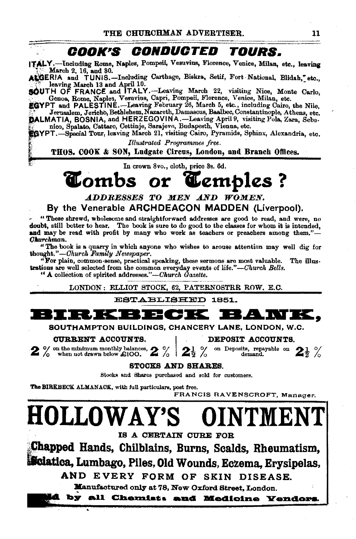# **OOOK"B OOIIDUOTED TOURS.**

ITALY.-Including Rome, Naples, Pompeii, Vesuvius, Florence, Venice, Milan, etc., leaving March 2, 16, and 30.

LGERIA and TUNIS.-Including Carthage, Biskra, Setif, Fort National, Blidah, etc.. **Example March 13 and April 10.**<br>**SOUTH OF FRANCE and ITALY.** Leaving March 22, visiting Nice, Monte Carlo,

SOUTH OF FRANCE and ITALY.---Leaving March 22, visiting Nice, Monte Carlo, .<br>.. Genoa, Rome, Naples, Vesuvius, Capri, Pompeii, Florence, Venice, Milan, etc. '

EGYPT and PALESTINE.—Leaving February 26, March 5, etc., including Cairo, the Nile, f',<br>Jerusalem, Jericho, Bethlehem, Nazareth, Damascus, Baalbec, Constantinople, Athens, etc.  $\bf \ddot{\rm \ddot{o}}$ ALMATIA, BOSNIA, and HERZEGOVINA.--Leaving April 9, visiting Pola, Zara, Sebe. ~<br> $\ddot{\rm \ddot{\rm c}}$  nico, Spalato, Cattaro, Cettinje, Sarajevo, Budapesth, Vienna, etc.

~YPT.-Special Tour, leaving March 21, visiting Cairo, Pyramids, Sphinx, Alexandria, etc,

*Illustrated Programmes free.*<br>**THOS. COOK & SON, Ludgate Circus, London, and Branch Offlees.** 

In crown Svo., cloth, price 3s. 6d.

# '~tombs **or 1Cemples** ?

ADDRESSES TO MEN AND WOMEN.

# By the Venerable ARCHDEACON MADDEN (Liverpool).

" "These shrewd, wholesome and straightforward addresses are good to read, and were, no doubt, still better to hear. The book is sure to do good to the classes for whom it is intended, and may be read with profit by many who work as teachers or preachers among them." $-$ *Olt.urchman.* 

" The book is a quarry in which anyone who wishes to arouse attention may well dig for thought." *-Church Family Ne1nspaper.* 

"For plain, oommon·eense, practical speaking, these sermons are most valuable. The illustrations are well selected from the common everyday events of life."-Church Bells.

"A collection of spirited addresses."-Church Gazette.

LONDON: ELLIOT STOCK, 62, PATERNOSTRR ROW. E.C.

ESTABLISHED 1851.



SOUTHAMPTON BUILDINGS, CHANCERY LANE, LONDON, W.C.<br>
OURRENT ACCOUNTS.

**CURRENT ACCOUNTS.**<br>
2 % on the minimum monthly balances, 2 % 2<sup>1</sup> % on Deposits, repayable on 2<sup>1</sup> % when not drawn below £100.  $2\frac{1}{2}$  %  $2\frac{1}{2}$  % on Deposits, repayable on 2<sup>1</sup> %

STOOXS AND SHARES.

Stocks and Shares purchased and sold for eustomers.

The BIRKBECK ALMANACK, with full particulars, post free.

FRANCIS RAVENSCROFT, Manager.